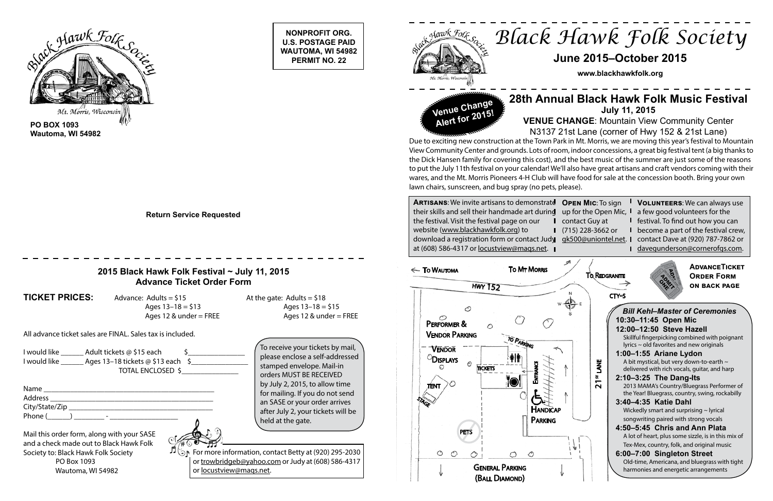**NONPROFIT ORG. U.S. POSTAGE PAID**

**PERMIT NO. 22**



**Wautoma, WI 54982**

 $\pi$  or For more information, contact Betty at (920) 295-2030 or trowbridgeb@yahoo.com or Judy at (608) 586-4317 or locustview@maqs.net.

**Return Service Requested**



| PEN MIC: To sign | <b>VOLUNTEERS:</b> We can always use                   |
|------------------|--------------------------------------------------------|
|                  | p for the Open Mic, I a few good volunteers for the    |
| ontact Guy at    | I festival. To find out how you can                    |
| 15) 228-3662 or  | I become a part of the festival crew,                  |
|                  | k500@uniontel.net. I contact Dave at (920) 787-7862 or |
|                  | I davegunderson@cornerofgs.com.                        |
|                  |                                                        |

At the gate: Adults =  $$18$ Ages  $13 - 18 = $15$ Ages 12 & under = FREE

### **2015 Black Hawk Folk Festival ~ July 11, 2015 Advance Ticket Order Form**

**TICKET PRICES:** Advance: Adults = \$15

Ages  $13 - 18 = $13$ Ages 12  $&$  under = FREE

All advance ticket sales are FINAL. Sales tax is included.

| Name           |  |
|----------------|--|
| <b>Address</b> |  |
| City/State/Zip |  |
| Phone (<br>-   |  |

Mail this order form, along with your SASE and a check made out to Black Hawk Folk Society to: Black Hawk Folk Society PO Box 1093 Wautoma, WI 54982

please enclose a self-addressed stamped envelope. Mail-in orders MUST BE RECEIVED by July 2, 2015, to allow time for mailing. If you do not send an SASE or your order arrives after July 2, your tickets will be held at the gate.